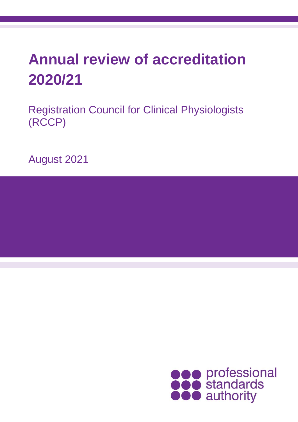# **Annual review of accreditation 2020/21**

Registration Council for Clinical Physiologists (RCCP)

August 2021

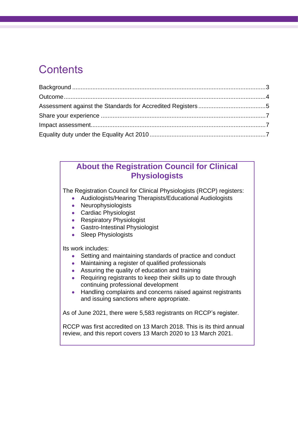### **Contents**

### **About the Registration Council for Clinical Physiologists**

The Registration Council for Clinical Physiologists (RCCP) registers:

- Audiologists/Hearing Therapists/Educational Audiologists
- Neurophysiologists
- Cardiac Physiologist
- Respiratory Physiologist
- Gastro-Intestinal Physiologist
- Sleep Physiologists

Its work includes:

- Setting and maintaining standards of practice and conduct
- Maintaining a register of qualified professionals
- Assuring the quality of education and training
- Requiring registrants to keep their skills up to date through continuing professional development
- Handling complaints and concerns raised against registrants and issuing sanctions where appropriate.

As of June 2021, there were 5,583 registrants on RCCP's register.

RCCP was first accredited on 13 March 2018. This is its third annual review, and this report covers 13 March 2020 to 13 March 2021.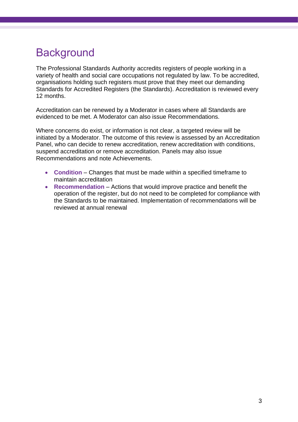## <span id="page-2-0"></span>**Background**

The Professional Standards Authority accredits registers of people working in a variety of health and social care occupations not regulated by law. To be accredited, organisations holding such registers must prove that they meet our demanding Standards for Accredited Registers (the Standards). Accreditation is reviewed every 12 months.

Accreditation can be renewed by a Moderator in cases where all Standards are evidenced to be met. A Moderator can also issue Recommendations.

Where concerns do exist, or information is not clear, a targeted review will be initiated by a Moderator. The outcome of this review is assessed by an Accreditation Panel, who can decide to renew accreditation, renew accreditation with conditions, suspend accreditation or remove accreditation. Panels may also issue Recommendations and note Achievements.

- **Condition** Changes that must be made within a specified timeframe to maintain accreditation
- **Recommendation**  Actions that would improve practice and benefit the operation of the register, but do not need to be completed for compliance with the Standards to be maintained. Implementation of recommendations will be reviewed at annual renewal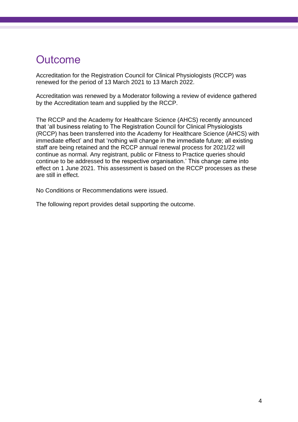### <span id="page-3-0"></span>**Outcome**

Accreditation for the Registration Council for Clinical Physiologists (RCCP) was renewed for the period of 13 March 2021 to 13 March 2022.

Accreditation was renewed by a Moderator following a review of evidence gathered by the Accreditation team and supplied by the RCCP.

The RCCP and the Academy for Healthcare Science (AHCS) recently announced that 'all business relating to The Registration Council for Clinical Physiologists (RCCP) has been transferred into the Academy for Healthcare Science (AHCS) with immediate effect' and that 'nothing will change in the immediate future; all existing staff are being retained and the RCCP annual renewal process for 2021/22 will continue as normal. Any registrant, public or Fitness to Practice queries should continue to be addressed to the respective organisation.' This change came into effect on 1 June 2021. This assessment is based on the RCCP processes as these are still in effect.

No Conditions or Recommendations were issued.

The following report provides detail supporting the outcome.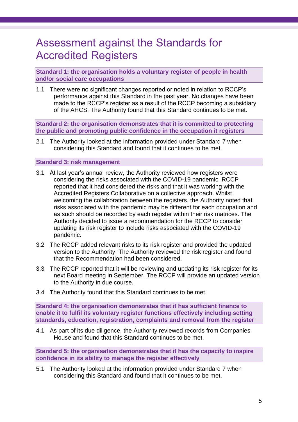### <span id="page-4-0"></span>Assessment against the Standards for Accredited Registers

**Standard 1: the organisation holds a voluntary register of people in health and/or social care occupations**

1.1 There were no significant changes reported or noted in relation to RCCP's performance against this Standard in the past year. No changes have been made to the RCCP's register as a result of the RCCP becoming a subsidiary of the AHCS. The Authority found that this Standard continues to be met.

**Standard 2: the organisation demonstrates that it is committed to protecting the public and promoting public confidence in the occupation it registers**

2.1 The Authority looked at the information provided under Standard 7 when considering this Standard and found that it continues to be met.

#### **Standard 3: risk management**

- 3.1 At last year's annual review, the Authority reviewed how registers were considering the risks associated with the COVID-19 pandemic. RCCP reported that it had considered the risks and that it was working with the Accredited Registers Collaborative on a collective approach. Whilst welcoming the collaboration between the registers, the Authority noted that risks associated with the pandemic may be different for each occupation and as such should be recorded by each register within their risk matrices. The Authority decided to issue a recommendation for the RCCP to consider updating its risk register to include risks associated with the COVID-19 pandemic.
- 3.2 The RCCP added relevant risks to its risk register and provided the updated version to the Authority. The Authority reviewed the risk register and found that the Recommendation had been considered.
- 3.3 The RCCP reported that it will be reviewing and updating its risk register for its next Board meeting in September. The RCCP will provide an updated version to the Authority in due course.
- 3.4 The Authority found that this Standard continues to be met.

**Standard 4: the organisation demonstrates that it has sufficient finance to enable it to fulfil its voluntary register functions effectively including setting standards, education, registration, complaints and removal from the register**

4.1 As part of its due diligence, the Authority reviewed records from Companies House and found that this Standard continues to be met.

**Standard 5: the organisation demonstrates that it has the capacity to inspire confidence in its ability to manage the register effectively**

5.1 The Authority looked at the information provided under Standard 7 when considering this Standard and found that it continues to be met.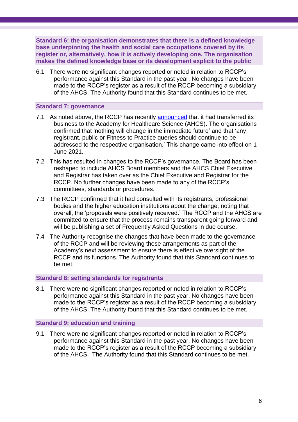**Standard 6: the organisation demonstrates that there is a defined knowledge base underpinning the health and social care occupations covered by its register or, alternatively, how it is actively developing one. The organisation makes the defined knowledge base or its development explicit to the public**

6.1 There were no significant changes reported or noted in relation to RCCP's performance against this Standard in the past year. No changes have been made to the RCCP's register as a result of the RCCP becoming a subsidiary of the AHCS. The Authority found that this Standard continues to be met.

#### **Standard 7: governance**

- 7.1 As noted above, the RCCP has recently [announced](https://rccp.co.uk/media/rjxdrg1f/completion-press-release-final-01-06-21.pdf) that it had transferred its business to the Academy for Healthcare Science (AHCS). The organisations confirmed that 'nothing will change in the immediate future' and that 'any registrant, public or Fitness to Practice queries should continue to be addressed to the respective organisation.' This change came into effect on 1 June 2021.
- 7.2 This has resulted in changes to the RCCP's governance. The Board has been reshaped to include AHCS Board members and the AHCS Chief Executive and Registrar has taken over as the Chief Executive and Registrar for the RCCP. No further changes have been made to any of the RCCP's committees, standards or procedures.
- 7.3 The RCCP confirmed that it had consulted with its registrants, professional bodies and the higher education institutions about the change, noting that overall, the 'proposals were positively received.' The RCCP and the AHCS are committed to ensure that the process remains transparent going forward and will be publishing a set of Frequently Asked Questions in due course.
- 7.4 The Authority recognise the changes that have been made to the governance of the RCCP and will be reviewing these arrangements as part of the Academy's next assessment to ensure there is effective oversight of the RCCP and its functions. The Authority found that this Standard continues to be met.

#### **Standard 8: setting standards for registrants**

8.1 There were no significant changes reported or noted in relation to RCCP's performance against this Standard in the past year. No changes have been made to the RCCP's register as a result of the RCCP becoming a subsidiary of the AHCS. The Authority found that this Standard continues to be met.

#### **Standard 9: education and training**

9.1 There were no significant changes reported or noted in relation to RCCP's performance against this Standard in the past year. No changes have been made to the RCCP's register as a result of the RCCP becoming a subsidiary of the AHCS. The Authority found that this Standard continues to be met.